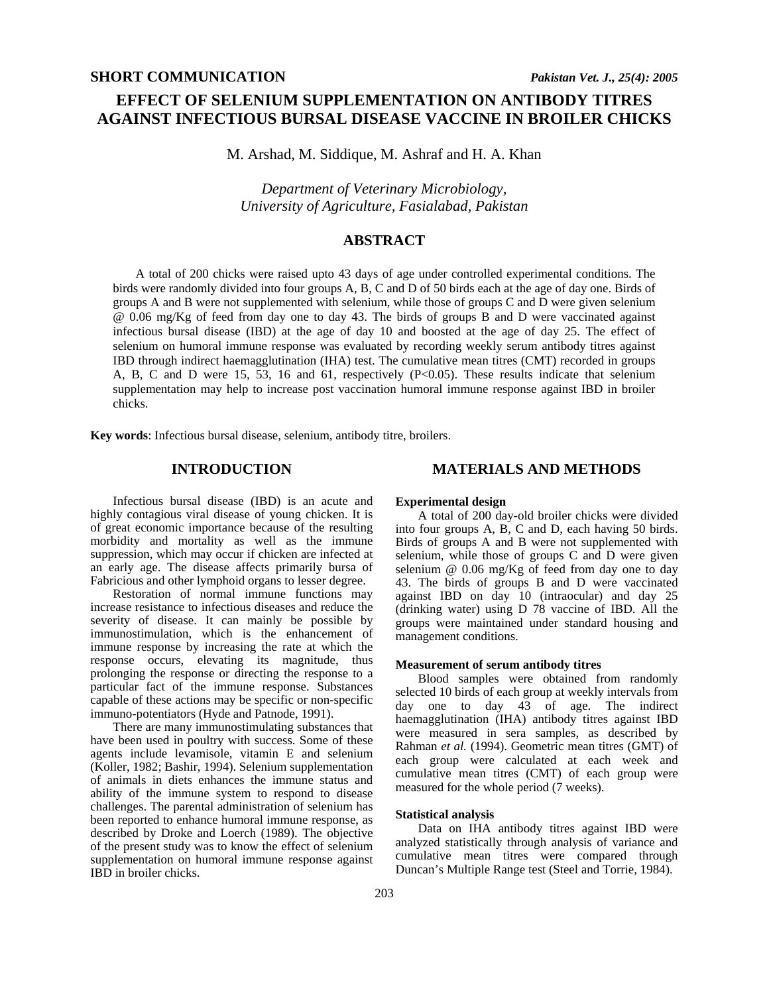# **EFFECT OF SELENIUM SUPPLEMENTATION ON ANTIBODY TITRES AGAINST INFECTIOUS BURSAL DISEASE VACCINE IN BROILER CHICKS**

M. Arshad, M. Siddique, M. Ashraf and H. A. Khan

*Department of Veterinary Microbiology, University of Agriculture, Fasialabad, Pakistan* 

# **ABSTRACT**

A total of 200 chicks were raised upto 43 days of age under controlled experimental conditions. The birds were randomly divided into four groups A, B, C and D of 50 birds each at the age of day one. Birds of groups A and B were not supplemented with selenium, while those of groups C and D were given selenium @ 0.06 mg/Kg of feed from day one to day 43. The birds of groups B and D were vaccinated against infectious bursal disease (IBD) at the age of day 10 and boosted at the age of day 25. The effect of selenium on humoral immune response was evaluated by recording weekly serum antibody titres against IBD through indirect haemagglutination (IHA) test. The cumulative mean titres (CMT) recorded in groups A, B, C and D were 15, 53, 16 and 61, respectively (P<0.05). These results indicate that selenium supplementation may help to increase post vaccination humoral immune response against IBD in broiler chicks.

**Key words**: Infectious bursal disease, selenium, antibody titre, broilers.

## **INTRODUCTION**

#### Infectious bursal disease (IBD) is an acute and highly contagious viral disease of young chicken. It is of great economic importance because of the resulting morbidity and mortality as well as the immune suppression, which may occur if chicken are infected at an early age. The disease affects primarily bursa of Fabricious and other lymphoid organs to lesser degree.

Restoration of normal immune functions may increase resistance to infectious diseases and reduce the severity of disease. It can mainly be possible by immunostimulation, which is the enhancement of immune response by increasing the rate at which the response occurs, elevating its magnitude, thus prolonging the response or directing the response to a particular fact of the immune response. Substances capable of these actions may be specific or non-specific immuno-potentiators (Hyde and Patnode, 1991).

There are many immunostimulating substances that have been used in poultry with success. Some of these agents include levamisole, vitamin E and selenium (Koller, 1982; Bashir, 1994). Selenium supplementation of animals in diets enhances the immune status and ability of the immune system to respond to disease challenges. The parental administration of selenium has been reported to enhance humoral immune response, as described by Droke and Loerch (1989). The objective of the present study was to know the effect of selenium supplementation on humoral immune response against IBD in broiler chicks.

## **MATERIALS AND METHODS**

#### **Experimental design**

A total of 200 day-old broiler chicks were divided into four groups A, B, C and D, each having 50 birds. Birds of groups A and B were not supplemented with selenium, while those of groups C and D were given selenium @ 0.06 mg/Kg of feed from day one to day 43. The birds of groups B and D were vaccinated against IBD on day 10 (intraocular) and day 25 (drinking water) using D 78 vaccine of IBD. All the groups were maintained under standard housing and management conditions.

#### **Measurement of serum antibody titres**

Blood samples were obtained from randomly selected 10 birds of each group at weekly intervals from day one to day 43 of age. The indirect haemagglutination (IHA) antibody titres against IBD were measured in sera samples, as described by Rahman *et al.* (1994). Geometric mean titres (GMT) of each group were calculated at each week and cumulative mean titres (CMT) of each group were measured for the whole period (7 weeks).

#### **Statistical analysis**

Data on IHA antibody titres against IBD were analyzed statistically through analysis of variance and cumulative mean titres were compared through Duncan's Multiple Range test (Steel and Torrie, 1984).